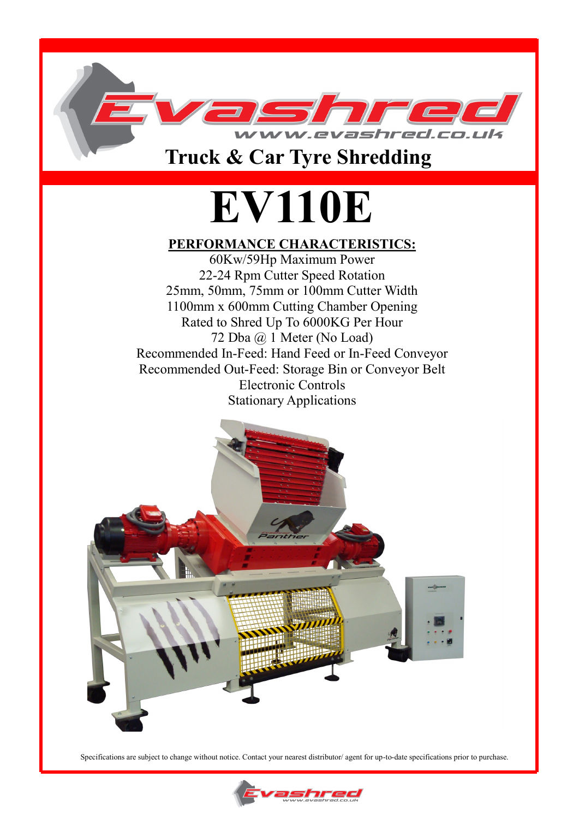

### **Truck & Car Tyre Shredding**

# **EV110E**

#### **PERFORMANCE CHARACTERISTICS:**

60Kw/59Hp Maximum Power 22-24 Rpm Cutter Speed Rotation 25mm, 50mm, 75mm or 100mm Cutter Width 1100mm x 600mm Cutting Chamber Opening Rated to Shred Up To 6000KG Per Hour 72 Dba @ 1 Meter (No Load) Recommended In-Feed: Hand Feed or In-Feed Conveyor Recommended Out-Feed: Storage Bin or Conveyor Belt Electronic Controls Stationary Applications



Specifications are subject to change without notice. Contact your nearest distributor/ agent for up-to-date specifications prior to purchase.